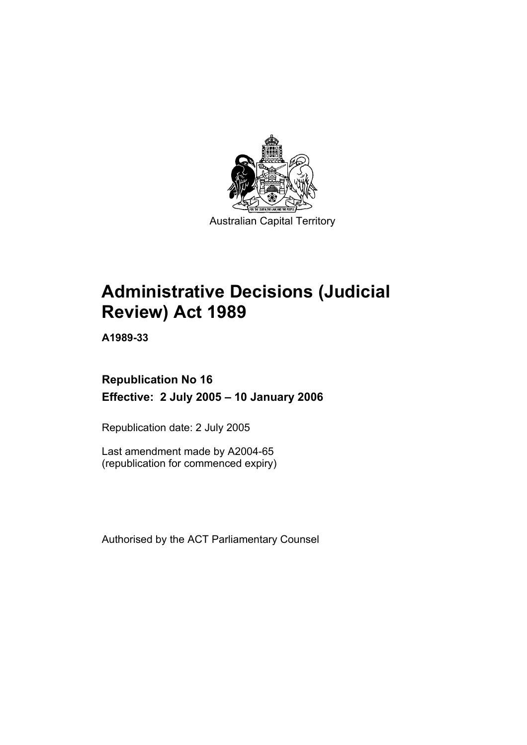

Australian Capital Territory

# **Administrative Decisions (Judicial Review) Act 1989**

**A1989-33** 

# **Republication No 16 Effective: 2 July 2005 – 10 January 2006**

Republication date: 2 July 2005

Last amendment made by A2004-65 (republication for commenced expiry)

Authorised by the ACT Parliamentary Counsel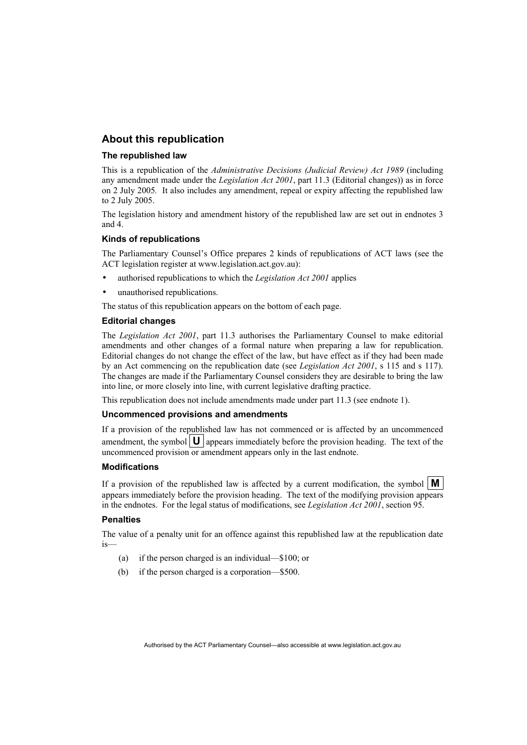# **About this republication**

#### **The republished law**

This is a republication of the *Administrative Decisions (Judicial Review) Act 1989* (including any amendment made under the *Legislation Act 2001*, part 11.3 (Editorial changes)) as in force on 2 July 2005*.* It also includes any amendment, repeal or expiry affecting the republished law to 2 July 2005.

The legislation history and amendment history of the republished law are set out in endnotes 3 and 4.

#### **Kinds of republications**

The Parliamentary Counsel's Office prepares 2 kinds of republications of ACT laws (see the ACT legislation register at www.legislation.act.gov.au):

- authorised republications to which the *Legislation Act 2001* applies
- unauthorised republications.

The status of this republication appears on the bottom of each page.

#### **Editorial changes**

The *Legislation Act 2001*, part 11.3 authorises the Parliamentary Counsel to make editorial amendments and other changes of a formal nature when preparing a law for republication. Editorial changes do not change the effect of the law, but have effect as if they had been made by an Act commencing on the republication date (see *Legislation Act 2001*, s 115 and s 117). The changes are made if the Parliamentary Counsel considers they are desirable to bring the law into line, or more closely into line, with current legislative drafting practice.

This republication does not include amendments made under part 11.3 (see endnote 1).

#### **Uncommenced provisions and amendments**

If a provision of the republished law has not commenced or is affected by an uncommenced amendment, the symbol  $\mathbf{U}$  appears immediately before the provision heading. The text of the uncommenced provision or amendment appears only in the last endnote.

#### **Modifications**

If a provision of the republished law is affected by a current modification, the symbol  $\mathbf{M}$ appears immediately before the provision heading. The text of the modifying provision appears in the endnotes. For the legal status of modifications, see *Legislation Act 2001*, section 95.

#### **Penalties**

The value of a penalty unit for an offence against this republished law at the republication date is—

- (a) if the person charged is an individual—\$100; or
- (b) if the person charged is a corporation—\$500.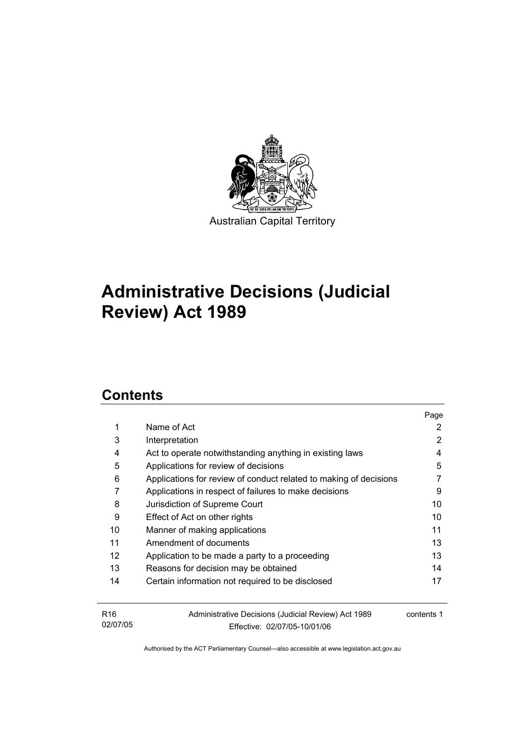

# **Administrative Decisions (Judicial Review) Act 1989**

# **Contents**

|                 |                                                                   | Page       |
|-----------------|-------------------------------------------------------------------|------------|
| 1               | Name of Act                                                       | 2          |
| 3               | Interpretation                                                    | 2          |
| 4               | Act to operate notwithstanding anything in existing laws          | 4          |
| 5               | Applications for review of decisions                              | 5          |
| 6               | Applications for review of conduct related to making of decisions |            |
| 7               | Applications in respect of failures to make decisions             | 9          |
| 8               | Jurisdiction of Supreme Court                                     | 10         |
| 9               | Effect of Act on other rights                                     | 10         |
| 10              | Manner of making applications                                     | 11         |
| 11              | Amendment of documents                                            | 13         |
| 12              | Application to be made a party to a proceeding                    | 13         |
| 13              | Reasons for decision may be obtained                              | 14         |
| 14              | Certain information not required to be disclosed                  | 17         |
|                 |                                                                   |            |
| R <sub>16</sub> | Administrative Decisions (Judicial Review) Act 1989               | contents 1 |
| 02/07/05        | Effective: 02/07/05-10/01/06                                      |            |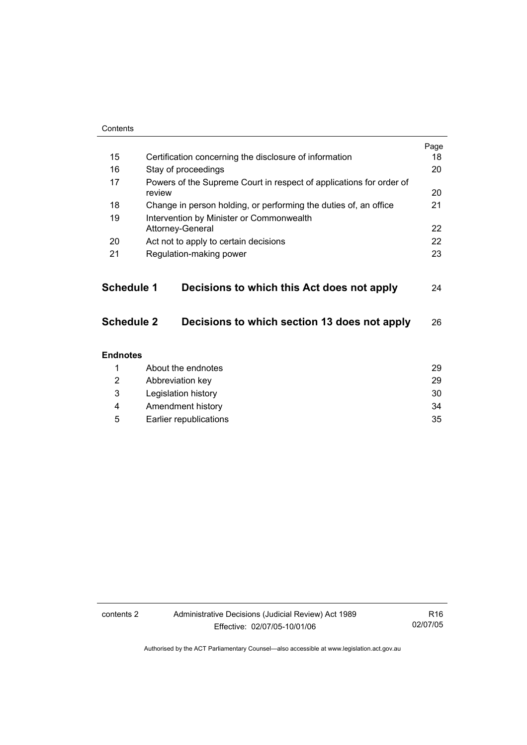| Contents          |                                                                               |      |
|-------------------|-------------------------------------------------------------------------------|------|
|                   |                                                                               | Page |
| 15                | Certification concerning the disclosure of information                        | 18   |
| 16                | Stay of proceedings                                                           | 20   |
| 17                | Powers of the Supreme Court in respect of applications for order of<br>review | 20   |
| 18                | Change in person holding, or performing the duties of, an office              | 21   |
| 19                | Intervention by Minister or Commonwealth                                      |      |
|                   | Attorney-General                                                              | 22   |
| 20                | Act not to apply to certain decisions                                         | 22   |
| 21                | Regulation-making power                                                       | 23   |
|                   |                                                                               |      |
| <b>Schedule 1</b> | Decisions to which this Act does not apply                                    | 24   |
| <b>Schedule 2</b> | Decisions to which section 13 does not apply                                  | 26   |
| <b>Endnotes</b>   |                                                                               |      |
| 1                 | About the endnotes                                                            | 29   |
| 2                 | Abbreviation key                                                              | 29   |
| 3                 | Legislation history                                                           | 30   |
| 4                 | Amendment history                                                             | 34   |
| 5                 | Earlier republications                                                        | 35   |

R16 02/07/05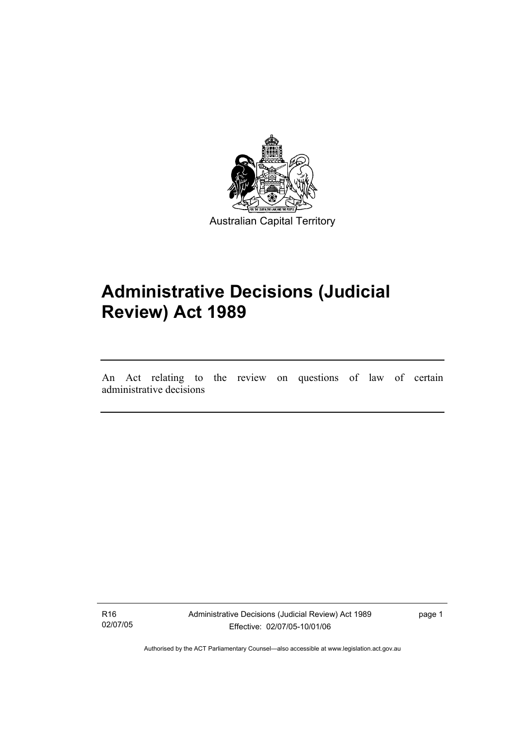

# **Administrative Decisions (Judicial Review) Act 1989**

An Act relating to the review on questions of law of certain administrative decisions

R16 02/07/05

I

Administrative Decisions (Judicial Review) Act 1989 Effective: 02/07/05-10/01/06

page 1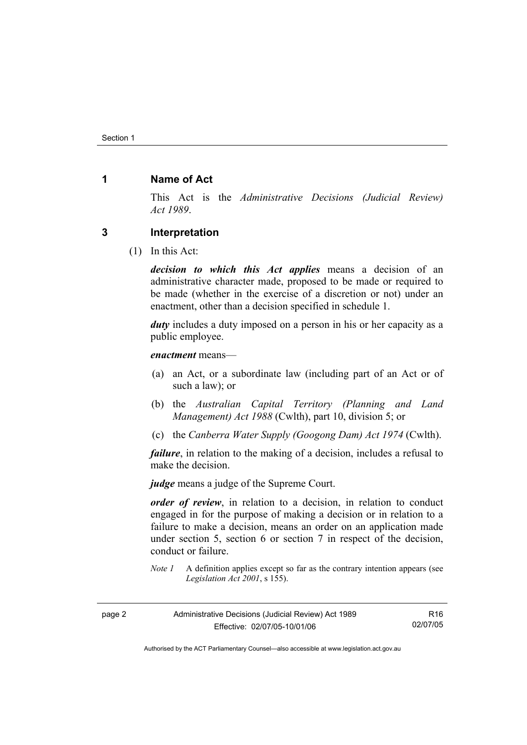# **1 Name of Act**

This Act is the *Administrative Decisions (Judicial Review) Act 1989*.

### **3 Interpretation**

(1) In this Act:

*decision to which this Act applies* means a decision of an administrative character made, proposed to be made or required to be made (whether in the exercise of a discretion or not) under an enactment, other than a decision specified in schedule 1.

*duty* includes a duty imposed on a person in his or her capacity as a public employee.

*enactment* means—

- (a) an Act, or a subordinate law (including part of an Act or of such a law); or
- (b) the *Australian Capital Territory (Planning and Land Management) Act 1988* (Cwlth), part 10, division 5; or
- (c) the *Canberra Water Supply (Googong Dam) Act 1974* (Cwlth).

*failure*, in relation to the making of a decision, includes a refusal to make the decision.

*judge* means a judge of the Supreme Court.

*order of review*, in relation to a decision, in relation to conduct engaged in for the purpose of making a decision or in relation to a failure to make a decision, means an order on an application made under section 5, section 6 or section 7 in respect of the decision, conduct or failure.

*Note 1* A definition applies except so far as the contrary intention appears (see *Legislation Act 2001*, s 155).

| page 2 | Administrative Decisions (Judicial Review) Act 1989 | R <sub>16</sub> |
|--------|-----------------------------------------------------|-----------------|
|        | Effective: 02/07/05-10/01/06                        | 02/07/05        |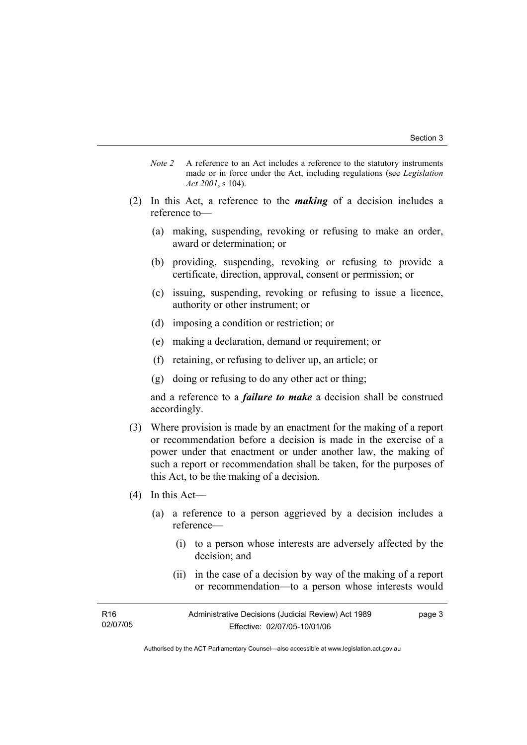- *Note 2* A reference to an Act includes a reference to the statutory instruments made or in force under the Act, including regulations (see *Legislation Act 2001*, s 104).
- (2) In this Act, a reference to the *making* of a decision includes a reference to—
	- (a) making, suspending, revoking or refusing to make an order, award or determination; or
	- (b) providing, suspending, revoking or refusing to provide a certificate, direction, approval, consent or permission; or
	- (c) issuing, suspending, revoking or refusing to issue a licence, authority or other instrument; or
	- (d) imposing a condition or restriction; or
	- (e) making a declaration, demand or requirement; or
	- (f) retaining, or refusing to deliver up, an article; or
	- (g) doing or refusing to do any other act or thing;

and a reference to a *failure to make* a decision shall be construed accordingly.

- (3) Where provision is made by an enactment for the making of a report or recommendation before a decision is made in the exercise of a power under that enactment or under another law, the making of such a report or recommendation shall be taken, for the purposes of this Act, to be the making of a decision.
- (4) In this Act—
	- (a) a reference to a person aggrieved by a decision includes a reference—
		- (i) to a person whose interests are adversely affected by the decision; and
		- (ii) in the case of a decision by way of the making of a report or recommendation—to a person whose interests would

| R <sub>16</sub> | Administrative Decisions (Judicial Review) Act 1989 | page 3 |
|-----------------|-----------------------------------------------------|--------|
| 02/07/05        | Effective: 02/07/05-10/01/06                        |        |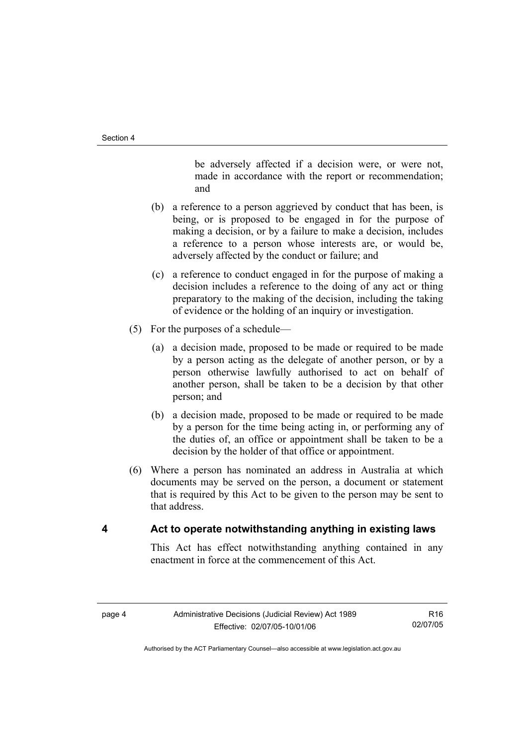be adversely affected if a decision were, or were not, made in accordance with the report or recommendation; and

- (b) a reference to a person aggrieved by conduct that has been, is being, or is proposed to be engaged in for the purpose of making a decision, or by a failure to make a decision, includes a reference to a person whose interests are, or would be, adversely affected by the conduct or failure; and
- (c) a reference to conduct engaged in for the purpose of making a decision includes a reference to the doing of any act or thing preparatory to the making of the decision, including the taking of evidence or the holding of an inquiry or investigation.
- (5) For the purposes of a schedule—
	- (a) a decision made, proposed to be made or required to be made by a person acting as the delegate of another person, or by a person otherwise lawfully authorised to act on behalf of another person, shall be taken to be a decision by that other person; and
	- (b) a decision made, proposed to be made or required to be made by a person for the time being acting in, or performing any of the duties of, an office or appointment shall be taken to be a decision by the holder of that office or appointment.
- (6) Where a person has nominated an address in Australia at which documents may be served on the person, a document or statement that is required by this Act to be given to the person may be sent to that address.

# **4 Act to operate notwithstanding anything in existing laws**

This Act has effect notwithstanding anything contained in any enactment in force at the commencement of this Act.

R16 02/07/05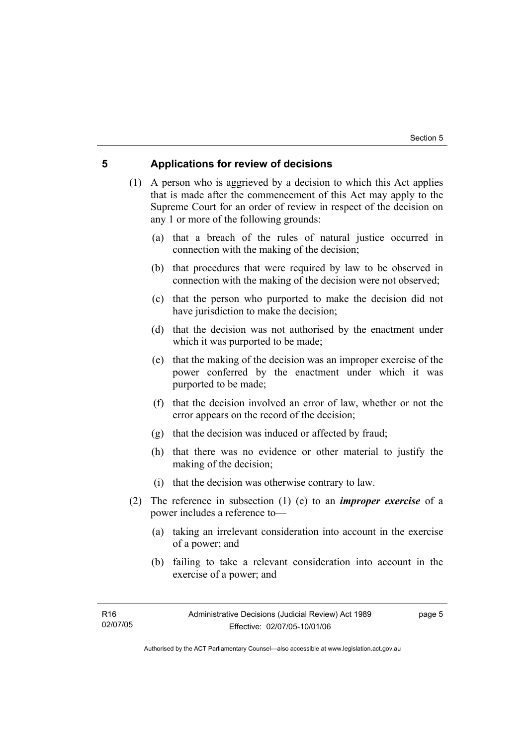## **5 Applications for review of decisions**

 (1) A person who is aggrieved by a decision to which this Act applies that is made after the commencement of this Act may apply to the Supreme Court for an order of review in respect of the decision on any 1 or more of the following grounds:

- (a) that a breach of the rules of natural justice occurred in connection with the making of the decision;
- (b) that procedures that were required by law to be observed in connection with the making of the decision were not observed;
- (c) that the person who purported to make the decision did not have jurisdiction to make the decision;
- (d) that the decision was not authorised by the enactment under which it was purported to be made;
- (e) that the making of the decision was an improper exercise of the power conferred by the enactment under which it was purported to be made;
- (f) that the decision involved an error of law, whether or not the error appears on the record of the decision;
- (g) that the decision was induced or affected by fraud;
- (h) that there was no evidence or other material to justify the making of the decision;
- (i) that the decision was otherwise contrary to law.
- (2) The reference in subsection (1) (e) to an *improper exercise* of a power includes a reference to—
	- (a) taking an irrelevant consideration into account in the exercise of a power; and
	- (b) failing to take a relevant consideration into account in the exercise of a power; and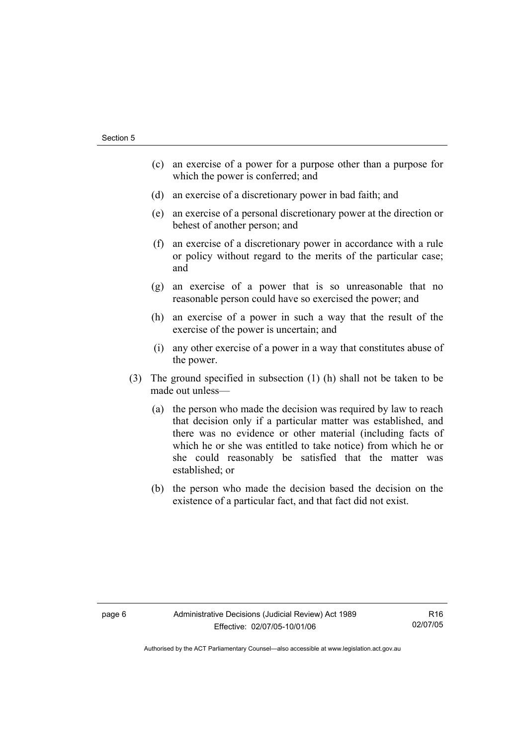- (c) an exercise of a power for a purpose other than a purpose for which the power is conferred; and
- (d) an exercise of a discretionary power in bad faith; and
- (e) an exercise of a personal discretionary power at the direction or behest of another person; and
- (f) an exercise of a discretionary power in accordance with a rule or policy without regard to the merits of the particular case; and
- (g) an exercise of a power that is so unreasonable that no reasonable person could have so exercised the power; and
- (h) an exercise of a power in such a way that the result of the exercise of the power is uncertain; and
- (i) any other exercise of a power in a way that constitutes abuse of the power.
- (3) The ground specified in subsection (1) (h) shall not be taken to be made out unless—
	- (a) the person who made the decision was required by law to reach that decision only if a particular matter was established, and there was no evidence or other material (including facts of which he or she was entitled to take notice) from which he or she could reasonably be satisfied that the matter was established; or
	- (b) the person who made the decision based the decision on the existence of a particular fact, and that fact did not exist.

R16 02/07/05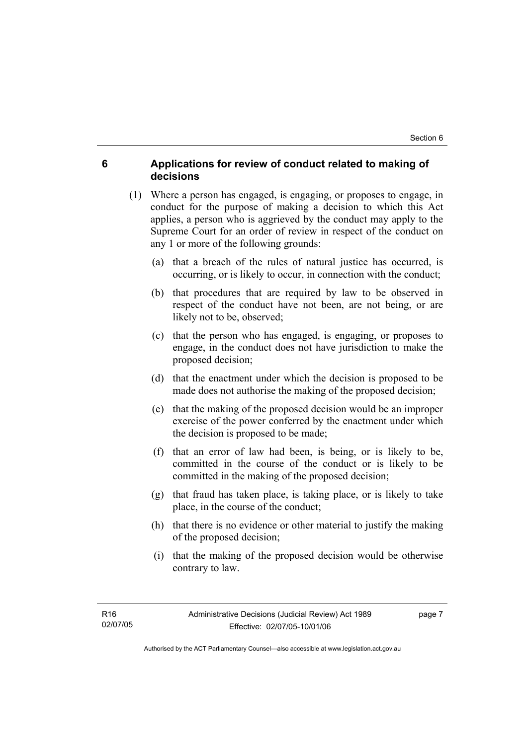# **6 Applications for review of conduct related to making of decisions**

- (1) Where a person has engaged, is engaging, or proposes to engage, in conduct for the purpose of making a decision to which this Act applies, a person who is aggrieved by the conduct may apply to the Supreme Court for an order of review in respect of the conduct on any 1 or more of the following grounds:
	- (a) that a breach of the rules of natural justice has occurred, is occurring, or is likely to occur, in connection with the conduct;
	- (b) that procedures that are required by law to be observed in respect of the conduct have not been, are not being, or are likely not to be, observed;
	- (c) that the person who has engaged, is engaging, or proposes to engage, in the conduct does not have jurisdiction to make the proposed decision;
	- (d) that the enactment under which the decision is proposed to be made does not authorise the making of the proposed decision;
	- (e) that the making of the proposed decision would be an improper exercise of the power conferred by the enactment under which the decision is proposed to be made;
	- (f) that an error of law had been, is being, or is likely to be, committed in the course of the conduct or is likely to be committed in the making of the proposed decision;
	- (g) that fraud has taken place, is taking place, or is likely to take place, in the course of the conduct;
	- (h) that there is no evidence or other material to justify the making of the proposed decision;
	- (i) that the making of the proposed decision would be otherwise contrary to law.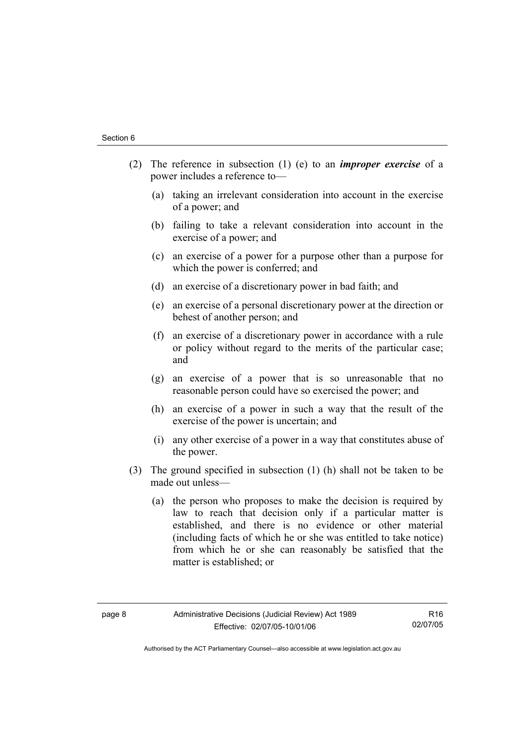- (2) The reference in subsection (1) (e) to an *improper exercise* of a power includes a reference to—
	- (a) taking an irrelevant consideration into account in the exercise of a power; and
	- (b) failing to take a relevant consideration into account in the exercise of a power; and
	- (c) an exercise of a power for a purpose other than a purpose for which the power is conferred; and
	- (d) an exercise of a discretionary power in bad faith; and
	- (e) an exercise of a personal discretionary power at the direction or behest of another person; and
	- (f) an exercise of a discretionary power in accordance with a rule or policy without regard to the merits of the particular case; and
	- (g) an exercise of a power that is so unreasonable that no reasonable person could have so exercised the power; and
	- (h) an exercise of a power in such a way that the result of the exercise of the power is uncertain; and
	- (i) any other exercise of a power in a way that constitutes abuse of the power.
- (3) The ground specified in subsection (1) (h) shall not be taken to be made out unless—
	- (a) the person who proposes to make the decision is required by law to reach that decision only if a particular matter is established, and there is no evidence or other material (including facts of which he or she was entitled to take notice) from which he or she can reasonably be satisfied that the matter is established; or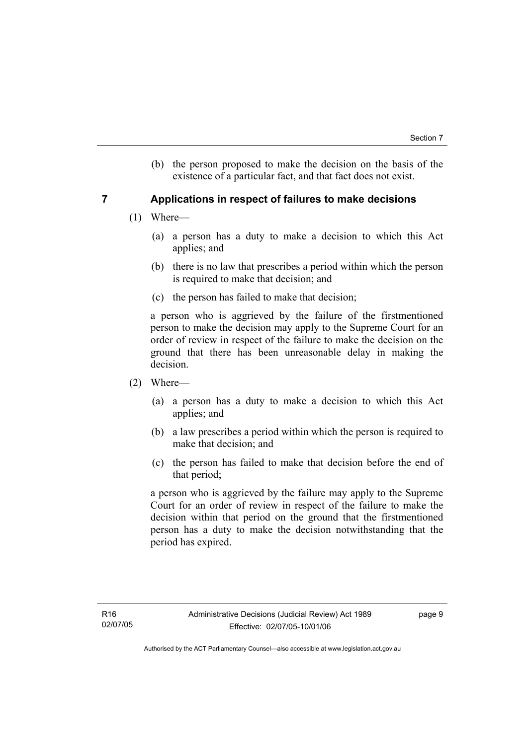(b) the person proposed to make the decision on the basis of the existence of a particular fact, and that fact does not exist.

# **7 Applications in respect of failures to make decisions**

- (1) Where—
	- (a) a person has a duty to make a decision to which this Act applies; and
	- (b) there is no law that prescribes a period within which the person is required to make that decision; and
	- (c) the person has failed to make that decision;

a person who is aggrieved by the failure of the firstmentioned person to make the decision may apply to the Supreme Court for an order of review in respect of the failure to make the decision on the ground that there has been unreasonable delay in making the decision.

- (2) Where—
	- (a) a person has a duty to make a decision to which this Act applies; and
	- (b) a law prescribes a period within which the person is required to make that decision; and
	- (c) the person has failed to make that decision before the end of that period;

a person who is aggrieved by the failure may apply to the Supreme Court for an order of review in respect of the failure to make the decision within that period on the ground that the firstmentioned person has a duty to make the decision notwithstanding that the period has expired.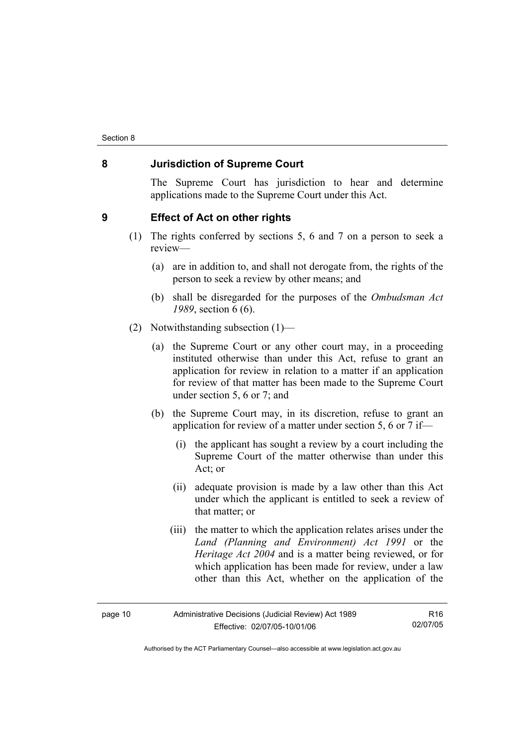### **8 Jurisdiction of Supreme Court**

The Supreme Court has jurisdiction to hear and determine applications made to the Supreme Court under this Act.

#### **9 Effect of Act on other rights**

- (1) The rights conferred by sections 5, 6 and 7 on a person to seek a review—
	- (a) are in addition to, and shall not derogate from, the rights of the person to seek a review by other means; and
	- (b) shall be disregarded for the purposes of the *Ombudsman Act 1989*, section 6 (6).
- (2) Notwithstanding subsection (1)—
	- (a) the Supreme Court or any other court may, in a proceeding instituted otherwise than under this Act, refuse to grant an application for review in relation to a matter if an application for review of that matter has been made to the Supreme Court under section 5, 6 or 7; and
	- (b) the Supreme Court may, in its discretion, refuse to grant an application for review of a matter under section 5, 6 or 7 if—
		- (i) the applicant has sought a review by a court including the Supreme Court of the matter otherwise than under this Act; or
		- (ii) adequate provision is made by a law other than this Act under which the applicant is entitled to seek a review of that matter; or
		- (iii) the matter to which the application relates arises under the *Land (Planning and Environment) Act 1991* or the *Heritage Act 2004* and is a matter being reviewed, or for which application has been made for review, under a law other than this Act, whether on the application of the

| page 10 |
|---------|
|---------|

R16 02/07/05

Authorised by the ACT Parliamentary Counsel—also accessible at www.legislation.act.gov.au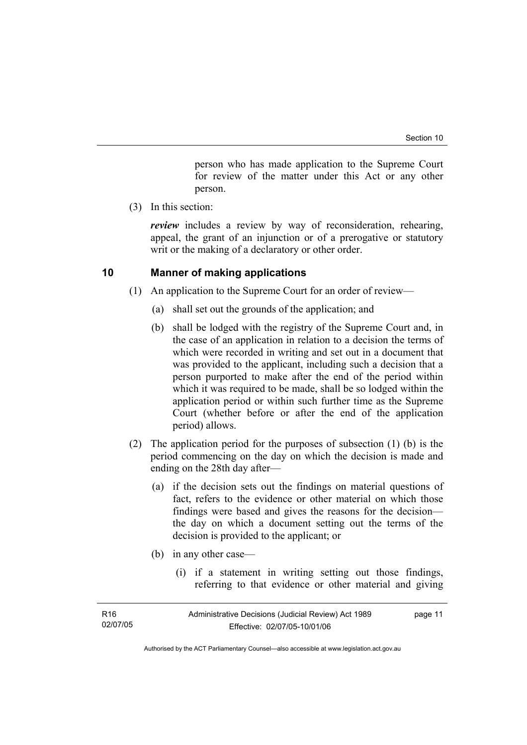person who has made application to the Supreme Court for review of the matter under this Act or any other person.

(3) In this section:

*review* includes a review by way of reconsideration, rehearing, appeal, the grant of an injunction or of a prerogative or statutory writ or the making of a declaratory or other order.

# **10 Manner of making applications**

- (1) An application to the Supreme Court for an order of review—
	- (a) shall set out the grounds of the application; and
	- (b) shall be lodged with the registry of the Supreme Court and, in the case of an application in relation to a decision the terms of which were recorded in writing and set out in a document that was provided to the applicant, including such a decision that a person purported to make after the end of the period within which it was required to be made, shall be so lodged within the application period or within such further time as the Supreme Court (whether before or after the end of the application period) allows.
- (2) The application period for the purposes of subsection (1) (b) is the period commencing on the day on which the decision is made and ending on the 28th day after—
	- (a) if the decision sets out the findings on material questions of fact, refers to the evidence or other material on which those findings were based and gives the reasons for the decision the day on which a document setting out the terms of the decision is provided to the applicant; or
	- (b) in any other case—
		- (i) if a statement in writing setting out those findings, referring to that evidence or other material and giving

| R <sub>16</sub> | Administrative Decisions (Judicial Review) Act 1989 | page 11 |
|-----------------|-----------------------------------------------------|---------|
| 02/07/05        | Effective: 02/07/05-10/01/06                        |         |
|                 |                                                     |         |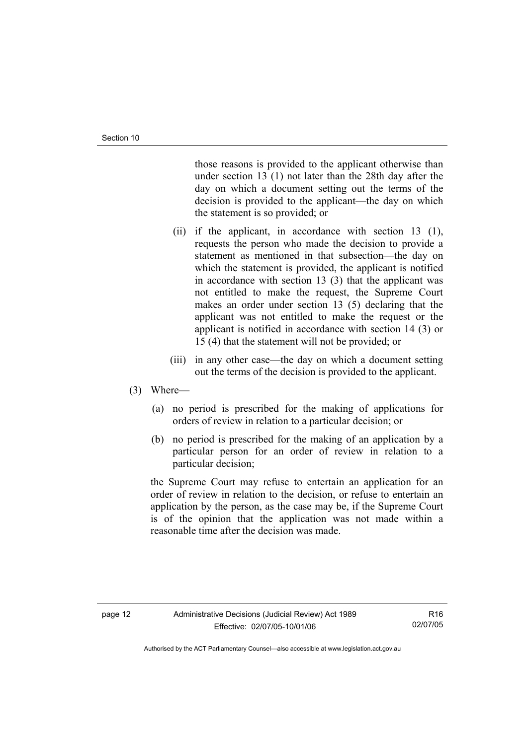those reasons is provided to the applicant otherwise than under section 13 (1) not later than the 28th day after the day on which a document setting out the terms of the decision is provided to the applicant—the day on which the statement is so provided; or

- (ii) if the applicant, in accordance with section 13 (1), requests the person who made the decision to provide a statement as mentioned in that subsection—the day on which the statement is provided, the applicant is notified in accordance with section 13 (3) that the applicant was not entitled to make the request, the Supreme Court makes an order under section 13 (5) declaring that the applicant was not entitled to make the request or the applicant is notified in accordance with section 14 (3) or 15 (4) that the statement will not be provided; or
- (iii) in any other case—the day on which a document setting out the terms of the decision is provided to the applicant.

#### (3) Where—

- (a) no period is prescribed for the making of applications for orders of review in relation to a particular decision; or
- (b) no period is prescribed for the making of an application by a particular person for an order of review in relation to a particular decision;

the Supreme Court may refuse to entertain an application for an order of review in relation to the decision, or refuse to entertain an application by the person, as the case may be, if the Supreme Court is of the opinion that the application was not made within a reasonable time after the decision was made.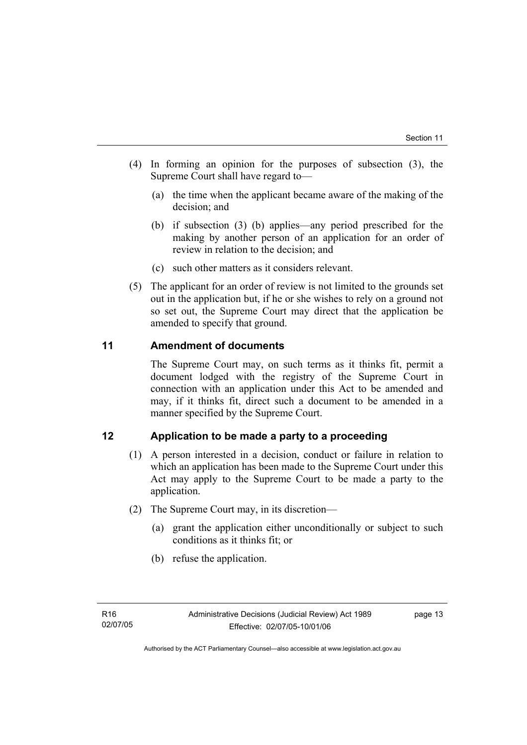- (4) In forming an opinion for the purposes of subsection (3), the Supreme Court shall have regard to—
	- (a) the time when the applicant became aware of the making of the decision; and
	- (b) if subsection (3) (b) applies—any period prescribed for the making by another person of an application for an order of review in relation to the decision; and
	- (c) such other matters as it considers relevant.
- (5) The applicant for an order of review is not limited to the grounds set out in the application but, if he or she wishes to rely on a ground not so set out, the Supreme Court may direct that the application be amended to specify that ground.

# **11 Amendment of documents**

The Supreme Court may, on such terms as it thinks fit, permit a document lodged with the registry of the Supreme Court in connection with an application under this Act to be amended and may, if it thinks fit, direct such a document to be amended in a manner specified by the Supreme Court.

# **12 Application to be made a party to a proceeding**

- (1) A person interested in a decision, conduct or failure in relation to which an application has been made to the Supreme Court under this Act may apply to the Supreme Court to be made a party to the application.
- (2) The Supreme Court may, in its discretion—
	- (a) grant the application either unconditionally or subject to such conditions as it thinks fit; or
	- (b) refuse the application.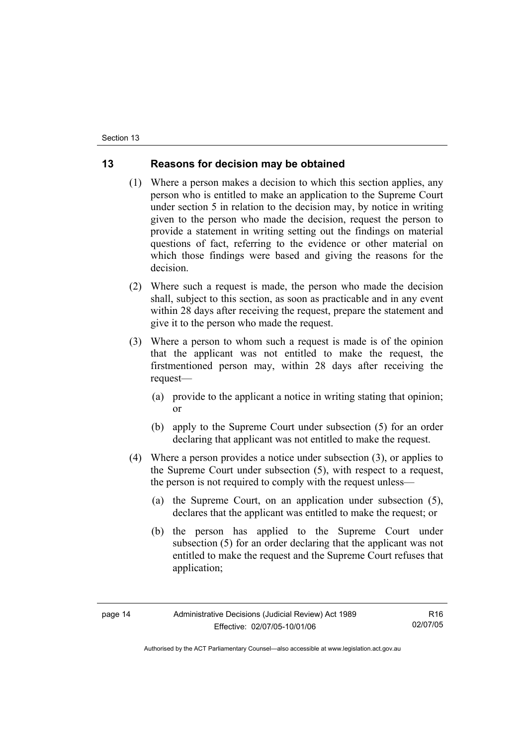# **13 Reasons for decision may be obtained**

- (1) Where a person makes a decision to which this section applies, any person who is entitled to make an application to the Supreme Court under section 5 in relation to the decision may, by notice in writing given to the person who made the decision, request the person to provide a statement in writing setting out the findings on material questions of fact, referring to the evidence or other material on which those findings were based and giving the reasons for the decision.
- (2) Where such a request is made, the person who made the decision shall, subject to this section, as soon as practicable and in any event within 28 days after receiving the request, prepare the statement and give it to the person who made the request.
- (3) Where a person to whom such a request is made is of the opinion that the applicant was not entitled to make the request, the firstmentioned person may, within 28 days after receiving the request—
	- (a) provide to the applicant a notice in writing stating that opinion; or
	- (b) apply to the Supreme Court under subsection (5) for an order declaring that applicant was not entitled to make the request.
- (4) Where a person provides a notice under subsection (3), or applies to the Supreme Court under subsection (5), with respect to a request, the person is not required to comply with the request unless—
	- (a) the Supreme Court, on an application under subsection (5), declares that the applicant was entitled to make the request; or
	- (b) the person has applied to the Supreme Court under subsection (5) for an order declaring that the applicant was not entitled to make the request and the Supreme Court refuses that application;

R16 02/07/05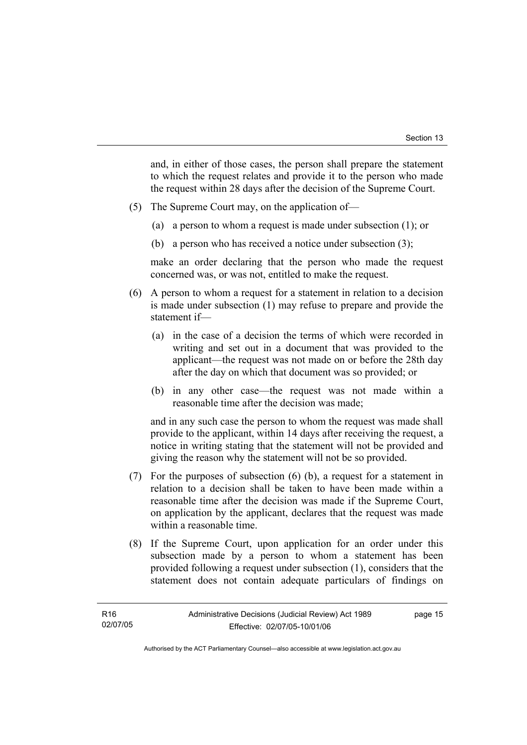and, in either of those cases, the person shall prepare the statement to which the request relates and provide it to the person who made the request within 28 days after the decision of the Supreme Court.

- (5) The Supreme Court may, on the application of—
	- (a) a person to whom a request is made under subsection (1); or
	- (b) a person who has received a notice under subsection (3);

make an order declaring that the person who made the request concerned was, or was not, entitled to make the request.

- (6) A person to whom a request for a statement in relation to a decision is made under subsection (1) may refuse to prepare and provide the statement if—
	- (a) in the case of a decision the terms of which were recorded in writing and set out in a document that was provided to the applicant—the request was not made on or before the 28th day after the day on which that document was so provided; or
	- (b) in any other case—the request was not made within a reasonable time after the decision was made;

and in any such case the person to whom the request was made shall provide to the applicant, within 14 days after receiving the request, a notice in writing stating that the statement will not be provided and giving the reason why the statement will not be so provided.

- (7) For the purposes of subsection (6) (b), a request for a statement in relation to a decision shall be taken to have been made within a reasonable time after the decision was made if the Supreme Court, on application by the applicant, declares that the request was made within a reasonable time.
- (8) If the Supreme Court, upon application for an order under this subsection made by a person to whom a statement has been provided following a request under subsection (1), considers that the statement does not contain adequate particulars of findings on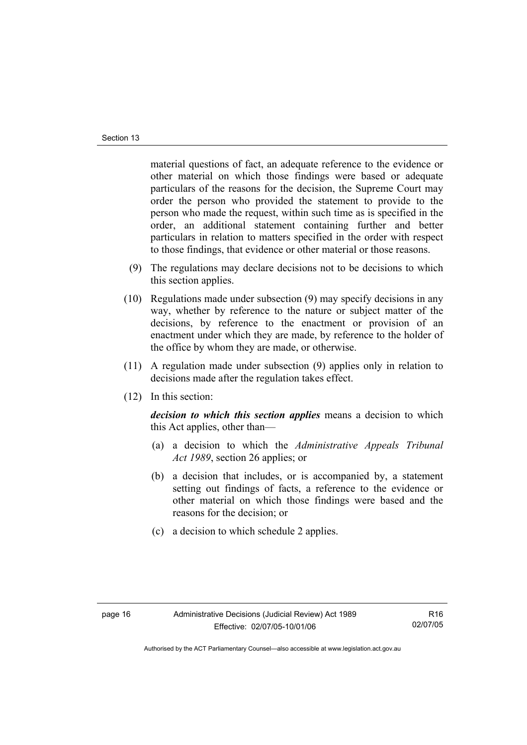material questions of fact, an adequate reference to the evidence or other material on which those findings were based or adequate particulars of the reasons for the decision, the Supreme Court may order the person who provided the statement to provide to the person who made the request, within such time as is specified in the order, an additional statement containing further and better particulars in relation to matters specified in the order with respect to those findings, that evidence or other material or those reasons.

- (9) The regulations may declare decisions not to be decisions to which this section applies.
- (10) Regulations made under subsection (9) may specify decisions in any way, whether by reference to the nature or subject matter of the decisions, by reference to the enactment or provision of an enactment under which they are made, by reference to the holder of the office by whom they are made, or otherwise.
- (11) A regulation made under subsection (9) applies only in relation to decisions made after the regulation takes effect.
- (12) In this section:

*decision to which this section applies* means a decision to which this Act applies, other than—

- (a) a decision to which the *Administrative Appeals Tribunal Act 1989*, section 26 applies; or
- (b) a decision that includes, or is accompanied by, a statement setting out findings of facts, a reference to the evidence or other material on which those findings were based and the reasons for the decision; or
- (c) a decision to which schedule 2 applies.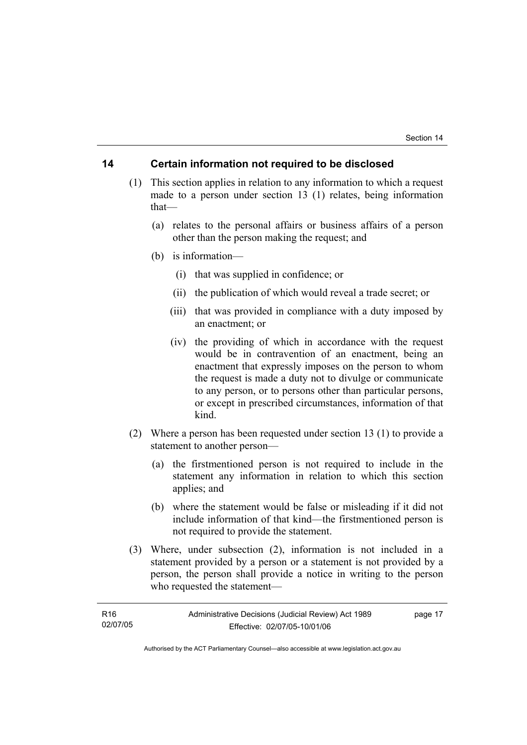### **14 Certain information not required to be disclosed**

- (1) This section applies in relation to any information to which a request made to a person under section 13 (1) relates, being information that—
	- (a) relates to the personal affairs or business affairs of a person other than the person making the request; and
	- (b) is information—
		- (i) that was supplied in confidence; or
		- (ii) the publication of which would reveal a trade secret; or
		- (iii) that was provided in compliance with a duty imposed by an enactment; or
		- (iv) the providing of which in accordance with the request would be in contravention of an enactment, being an enactment that expressly imposes on the person to whom the request is made a duty not to divulge or communicate to any person, or to persons other than particular persons, or except in prescribed circumstances, information of that kind.
- (2) Where a person has been requested under section 13 (1) to provide a statement to another person—
	- (a) the firstmentioned person is not required to include in the statement any information in relation to which this section applies; and
	- (b) where the statement would be false or misleading if it did not include information of that kind—the firstmentioned person is not required to provide the statement.
- (3) Where, under subsection (2), information is not included in a statement provided by a person or a statement is not provided by a person, the person shall provide a notice in writing to the person who requested the statement—

| R <sub>16</sub> | Administrative Decisions (Judicial Review) Act 1989 | page 17 |
|-----------------|-----------------------------------------------------|---------|
| 02/07/05        | Effective: 02/07/05-10/01/06                        |         |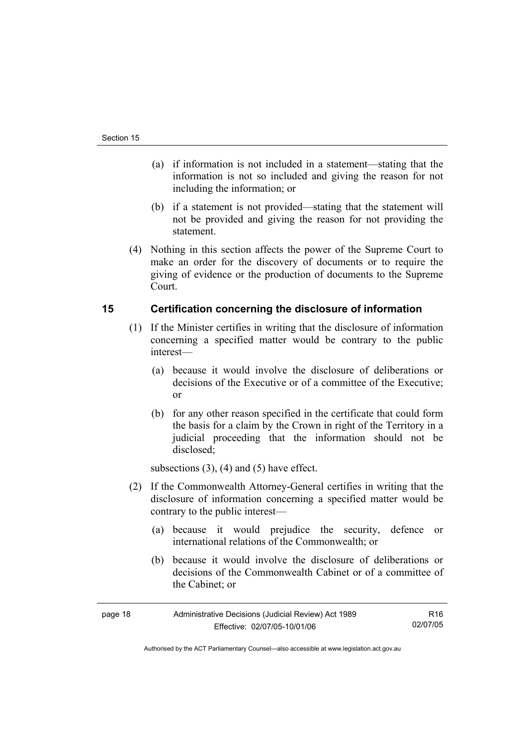- (a) if information is not included in a statement—stating that the information is not so included and giving the reason for not including the information; or
- (b) if a statement is not provided—stating that the statement will not be provided and giving the reason for not providing the statement.
- (4) Nothing in this section affects the power of the Supreme Court to make an order for the discovery of documents or to require the giving of evidence or the production of documents to the Supreme Court.

# **15 Certification concerning the disclosure of information**

- (1) If the Minister certifies in writing that the disclosure of information concerning a specified matter would be contrary to the public interest—
	- (a) because it would involve the disclosure of deliberations or decisions of the Executive or of a committee of the Executive; or
	- (b) for any other reason specified in the certificate that could form the basis for a claim by the Crown in right of the Territory in a judicial proceeding that the information should not be disclosed;

subsections  $(3)$ ,  $(4)$  and  $(5)$  have effect.

- (2) If the Commonwealth Attorney-General certifies in writing that the disclosure of information concerning a specified matter would be contrary to the public interest—
	- (a) because it would prejudice the security, defence or international relations of the Commonwealth; or
	- (b) because it would involve the disclosure of deliberations or decisions of the Commonwealth Cabinet or of a committee of the Cabinet; or

| page 18 | Administrative Decisions (Judicial Review) Act 1989 | R16      |
|---------|-----------------------------------------------------|----------|
|         | Effective: 02/07/05-10/01/06                        | 02/07/05 |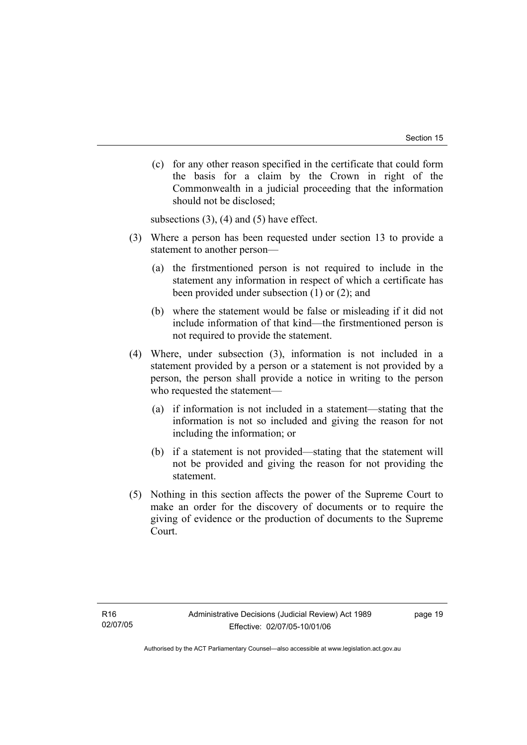(c) for any other reason specified in the certificate that could form the basis for a claim by the Crown in right of the Commonwealth in a judicial proceeding that the information should not be disclosed;

subsections  $(3)$ ,  $(4)$  and  $(5)$  have effect.

- (3) Where a person has been requested under section 13 to provide a statement to another person—
	- (a) the firstmentioned person is not required to include in the statement any information in respect of which a certificate has been provided under subsection (1) or (2); and
	- (b) where the statement would be false or misleading if it did not include information of that kind—the firstmentioned person is not required to provide the statement.
- (4) Where, under subsection (3), information is not included in a statement provided by a person or a statement is not provided by a person, the person shall provide a notice in writing to the person who requested the statement—
	- (a) if information is not included in a statement—stating that the information is not so included and giving the reason for not including the information; or
	- (b) if a statement is not provided—stating that the statement will not be provided and giving the reason for not providing the statement.
- (5) Nothing in this section affects the power of the Supreme Court to make an order for the discovery of documents or to require the giving of evidence or the production of documents to the Supreme Court.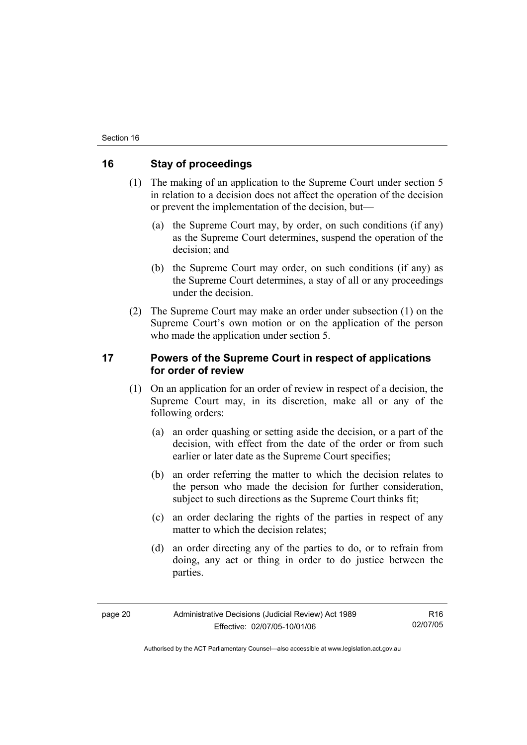## **16 Stay of proceedings**

- (1) The making of an application to the Supreme Court under section 5 in relation to a decision does not affect the operation of the decision or prevent the implementation of the decision, but—
	- (a) the Supreme Court may, by order, on such conditions (if any) as the Supreme Court determines, suspend the operation of the decision; and
	- (b) the Supreme Court may order, on such conditions (if any) as the Supreme Court determines, a stay of all or any proceedings under the decision.
- (2) The Supreme Court may make an order under subsection (1) on the Supreme Court's own motion or on the application of the person who made the application under section 5.

# **17 Powers of the Supreme Court in respect of applications for order of review**

- (1) On an application for an order of review in respect of a decision, the Supreme Court may, in its discretion, make all or any of the following orders:
	- (a) an order quashing or setting aside the decision, or a part of the decision, with effect from the date of the order or from such earlier or later date as the Supreme Court specifies;
	- (b) an order referring the matter to which the decision relates to the person who made the decision for further consideration, subject to such directions as the Supreme Court thinks fit:
	- (c) an order declaring the rights of the parties in respect of any matter to which the decision relates:
	- (d) an order directing any of the parties to do, or to refrain from doing, any act or thing in order to do justice between the parties.

R16 02/07/05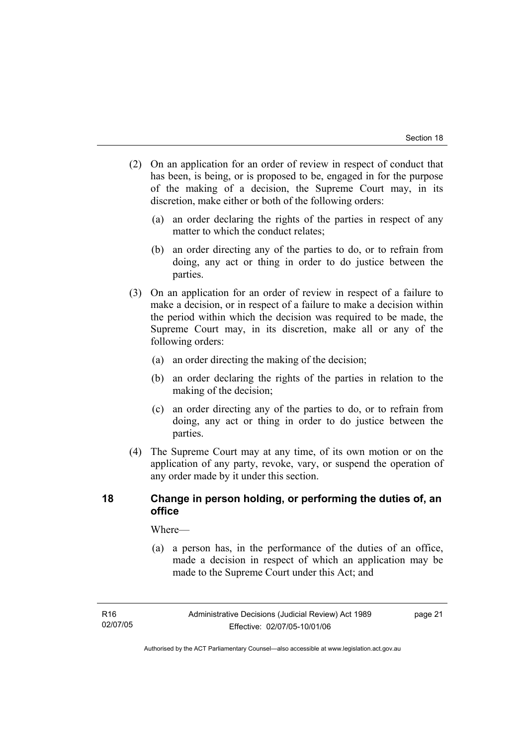- (2) On an application for an order of review in respect of conduct that has been, is being, or is proposed to be, engaged in for the purpose of the making of a decision, the Supreme Court may, in its discretion, make either or both of the following orders:
	- (a) an order declaring the rights of the parties in respect of any matter to which the conduct relates;
	- (b) an order directing any of the parties to do, or to refrain from doing, any act or thing in order to do justice between the parties.
- (3) On an application for an order of review in respect of a failure to make a decision, or in respect of a failure to make a decision within the period within which the decision was required to be made, the Supreme Court may, in its discretion, make all or any of the following orders:
	- (a) an order directing the making of the decision;
	- (b) an order declaring the rights of the parties in relation to the making of the decision;
	- (c) an order directing any of the parties to do, or to refrain from doing, any act or thing in order to do justice between the parties.
- (4) The Supreme Court may at any time, of its own motion or on the application of any party, revoke, vary, or suspend the operation of any order made by it under this section.

# **18 Change in person holding, or performing the duties of, an office**

Where—

 (a) a person has, in the performance of the duties of an office, made a decision in respect of which an application may be made to the Supreme Court under this Act; and

Authorised by the ACT Parliamentary Counsel—also accessible at www.legislation.act.gov.au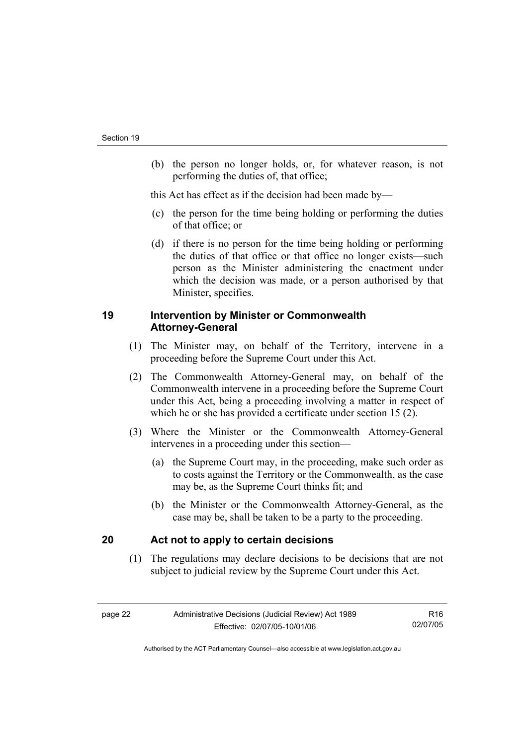(b) the person no longer holds, or, for whatever reason, is not performing the duties of, that office;

this Act has effect as if the decision had been made by—

- (c) the person for the time being holding or performing the duties of that office; or
- (d) if there is no person for the time being holding or performing the duties of that office or that office no longer exists—such person as the Minister administering the enactment under which the decision was made, or a person authorised by that Minister, specifies.

# **19 Intervention by Minister or Commonwealth Attorney-General**

- (1) The Minister may, on behalf of the Territory, intervene in a proceeding before the Supreme Court under this Act.
- (2) The Commonwealth Attorney-General may, on behalf of the Commonwealth intervene in a proceeding before the Supreme Court under this Act, being a proceeding involving a matter in respect of which he or she has provided a certificate under section 15 (2).
- (3) Where the Minister or the Commonwealth Attorney-General intervenes in a proceeding under this section—
	- (a) the Supreme Court may, in the proceeding, make such order as to costs against the Territory or the Commonwealth, as the case may be, as the Supreme Court thinks fit; and
	- (b) the Minister or the Commonwealth Attorney-General, as the case may be, shall be taken to be a party to the proceeding.

# **20 Act not to apply to certain decisions**

 (1) The regulations may declare decisions to be decisions that are not subject to judicial review by the Supreme Court under this Act.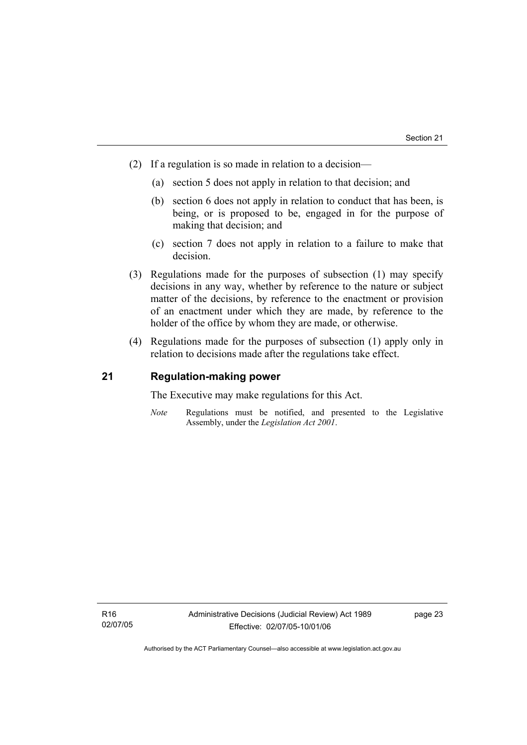- (2) If a regulation is so made in relation to a decision—
	- (a) section 5 does not apply in relation to that decision; and
	- (b) section 6 does not apply in relation to conduct that has been, is being, or is proposed to be, engaged in for the purpose of making that decision; and
	- (c) section 7 does not apply in relation to a failure to make that decision.
- (3) Regulations made for the purposes of subsection (1) may specify decisions in any way, whether by reference to the nature or subject matter of the decisions, by reference to the enactment or provision of an enactment under which they are made, by reference to the holder of the office by whom they are made, or otherwise.
- (4) Regulations made for the purposes of subsection (1) apply only in relation to decisions made after the regulations take effect.

### **21 Regulation-making power**

The Executive may make regulations for this Act.

*Note* Regulations must be notified, and presented to the Legislative Assembly, under the *Legislation Act 2001*.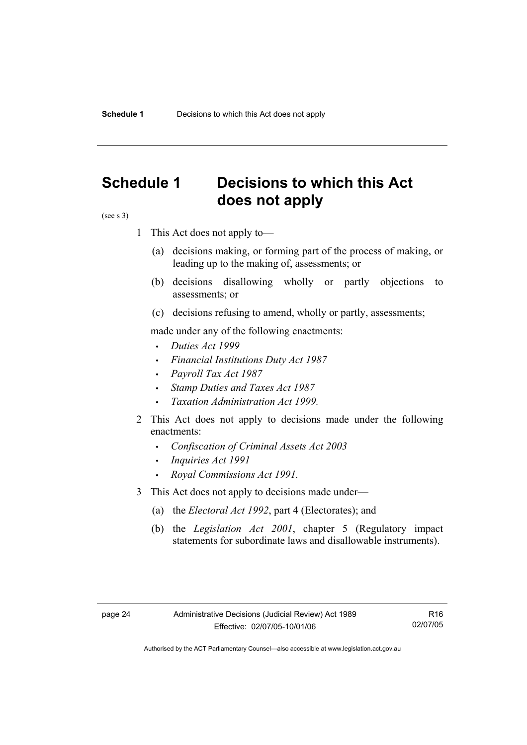# **Schedule 1 Decisions to which this Act does not apply**

(see s 3)

- 1 This Act does not apply to—
	- (a) decisions making, or forming part of the process of making, or leading up to the making of, assessments; or
	- (b) decisions disallowing wholly or partly objections to assessments; or
	- (c) decisions refusing to amend, wholly or partly, assessments;

made under any of the following enactments:

- *Duties Act 1999*
- *Financial Institutions Duty Act 1987*
- *Payroll Tax Act 1987*
- *Stamp Duties and Taxes Act 1987*
- *Taxation Administration Act 1999*.
- 2 This Act does not apply to decisions made under the following enactments:
	- *Confiscation of Criminal Assets Act 2003*
	- *Inquiries Act 1991*
	- *Royal Commissions Act 1991.*
- 3 This Act does not apply to decisions made under—
	- (a) the *Electoral Act 1992*, part 4 (Electorates); and
	- (b) the *Legislation Act 2001*, chapter 5 (Regulatory impact statements for subordinate laws and disallowable instruments).

R16 02/07/05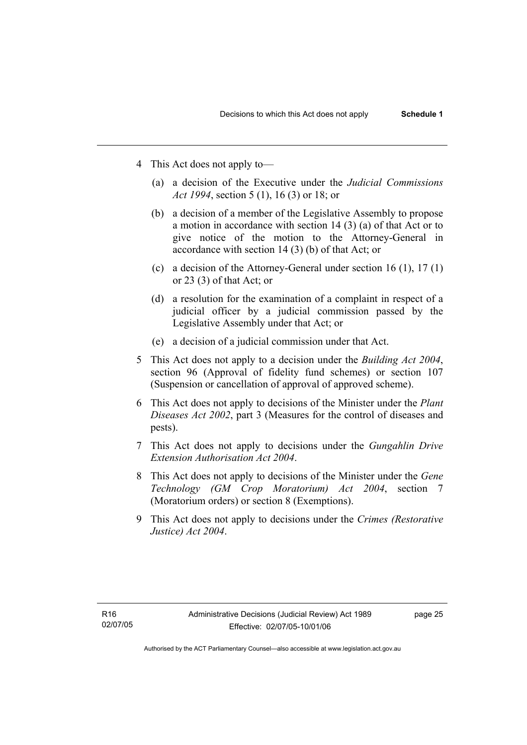- 4 This Act does not apply to—
	- (a) a decision of the Executive under the *Judicial Commissions Act 1994*, section 5 (1), 16 (3) or 18; or
	- (b) a decision of a member of the Legislative Assembly to propose a motion in accordance with section 14 (3) (a) of that Act or to give notice of the motion to the Attorney-General in accordance with section 14 (3) (b) of that Act; or
	- (c) a decision of the Attorney-General under section 16 (1), 17 (1) or 23 (3) of that Act; or
	- (d) a resolution for the examination of a complaint in respect of a judicial officer by a judicial commission passed by the Legislative Assembly under that Act; or
	- (e) a decision of a judicial commission under that Act .
- 5 This Act does not apply to a decision under the *Building Act 2004*, section 96 (Approval of fidelity fund schemes) or section 107 (Suspension or cancellation of approval of approved scheme).
- 6 This Act does not apply to decisions of the Minister under the *Plant Diseases Act 2002*, part 3 (Measures for the control of diseases and pests).
- 7 This Act does not apply to decisions under the *Gungahlin Drive Extension Authorisation Act 2004*.
- 8 This Act does not apply to decisions of the Minister under the *Gene Technology (GM Crop Moratorium) Act 2004*, section 7 (Moratorium orders) or section 8 (Exemptions).
- 9 This Act does not apply to decisions under the *Crimes (Restorative Justice) Act 2004*.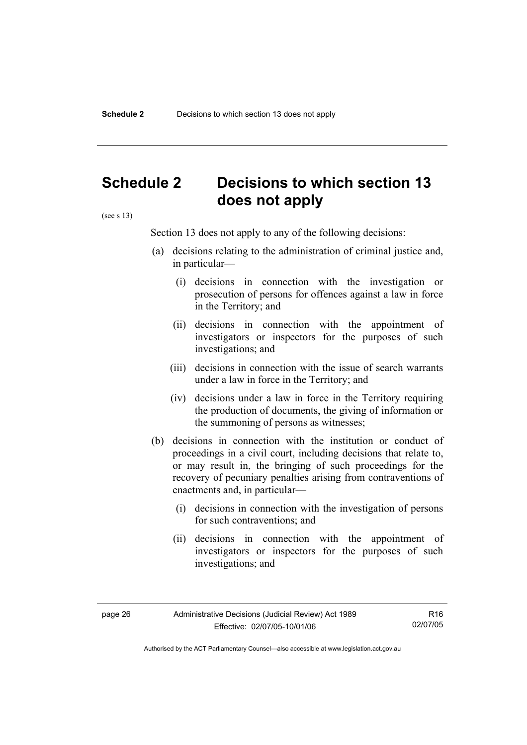# **Schedule 2 Decisions to which section 13 does not apply**

(see s 13)

Section 13 does not apply to any of the following decisions:

- (a) decisions relating to the administration of criminal justice and, in particular—
	- (i) decisions in connection with the investigation or prosecution of persons for offences against a law in force in the Territory; and
	- (ii) decisions in connection with the appointment of investigators or inspectors for the purposes of such investigations; and
	- (iii) decisions in connection with the issue of search warrants under a law in force in the Territory; and
	- (iv) decisions under a law in force in the Territory requiring the production of documents, the giving of information or the summoning of persons as witnesses;
- (b) decisions in connection with the institution or conduct of proceedings in a civil court, including decisions that relate to, or may result in, the bringing of such proceedings for the recovery of pecuniary penalties arising from contraventions of enactments and, in particular—
	- (i) decisions in connection with the investigation of persons for such contraventions; and
	- (ii) decisions in connection with the appointment of investigators or inspectors for the purposes of such investigations; and

R16 02/07/05

Authorised by the ACT Parliamentary Counsel—also accessible at www.legislation.act.gov.au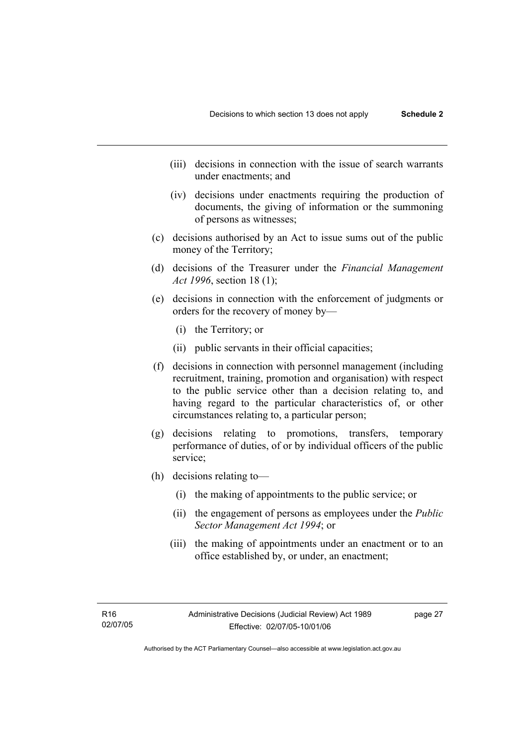- (iii) decisions in connection with the issue of search warrants under enactments; and
- (iv) decisions under enactments requiring the production of documents, the giving of information or the summoning of persons as witnesses;
- (c) decisions authorised by an Act to issue sums out of the public money of the Territory;
- (d) decisions of the Treasurer under the *Financial Management Act 1996*, section 18 (1);
- (e) decisions in connection with the enforcement of judgments or orders for the recovery of money by—
	- (i) the Territory; or
	- (ii) public servants in their official capacities;
- (f) decisions in connection with personnel management (including recruitment, training, promotion and organisation) with respect to the public service other than a decision relating to, and having regard to the particular characteristics of, or other circumstances relating to, a particular person;
- (g) decisions relating to promotions, transfers, temporary performance of duties, of or by individual officers of the public service;
- (h) decisions relating to—
	- (i) the making of appointments to the public service; or
	- (ii) the engagement of persons as employees under the *Public Sector Management Act 1994*; or
	- (iii) the making of appointments under an enactment or to an office established by, or under, an enactment;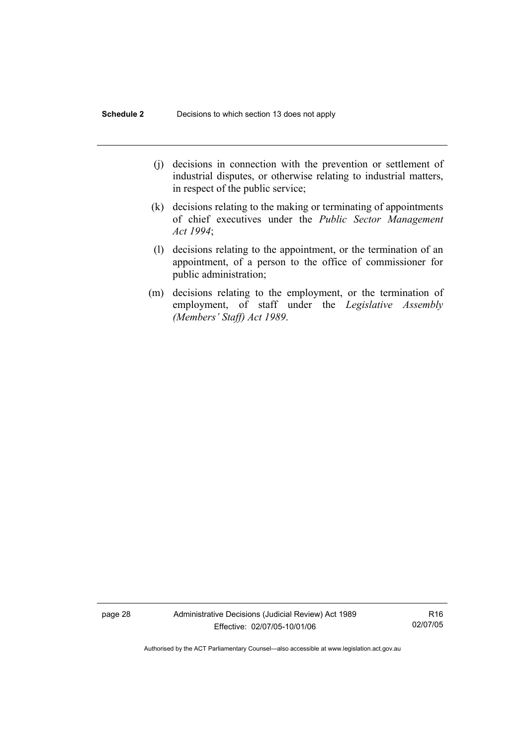- (j) decisions in connection with the prevention or settlement of industrial disputes, or otherwise relating to industrial matters, in respect of the public service;
- (k) decisions relating to the making or terminating of appointments of chief executives under the *Public Sector Management Act 1994*;
- (l) decisions relating to the appointment, or the termination of an appointment, of a person to the office of commissioner for public administration;
- (m) decisions relating to the employment, or the termination of employment, of staff under the *Legislative Assembly (Members' Staff) Act 1989*.

page 28 Administrative Decisions (Judicial Review) Act 1989 Effective: 02/07/05-10/01/06

R16 02/07/05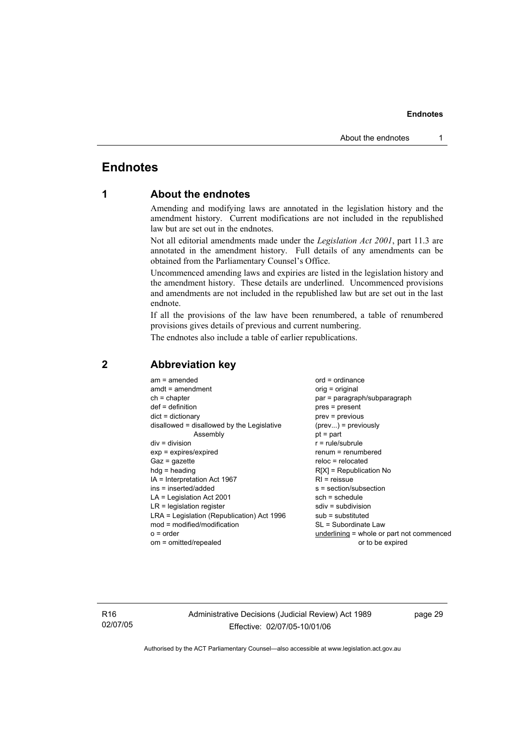# **Endnotes**

# **1 About the endnotes**

Amending and modifying laws are annotated in the legislation history and the amendment history. Current modifications are not included in the republished law but are set out in the endnotes.

Not all editorial amendments made under the *Legislation Act 2001*, part 11.3 are annotated in the amendment history. Full details of any amendments can be obtained from the Parliamentary Counsel's Office.

Uncommenced amending laws and expiries are listed in the legislation history and the amendment history. These details are underlined. Uncommenced provisions and amendments are not included in the republished law but are set out in the last endnote.

If all the provisions of the law have been renumbered, a table of renumbered provisions gives details of previous and current numbering.

The endnotes also include a table of earlier republications.

| $am = amended$                             | $ord = ordinance$                         |
|--------------------------------------------|-------------------------------------------|
| $amdt = amendment$                         | $orig = original$                         |
| $ch = chapter$                             | par = paragraph/subparagraph              |
| $def = definition$                         | pres = present                            |
| $dict = dictionary$                        | prev = previous                           |
| disallowed = disallowed by the Legislative | $(\text{prev})$ = previously              |
| Assembly                                   | $pt = part$                               |
| $div = division$                           | $r = rule/subrule$                        |
| $exp = expires/expired$                    | renum = renumbered                        |
| $Gaz = gazette$                            | $reloc = relocated$                       |
| $h dq =$ heading                           | $R[X]$ = Republication No                 |
| IA = Interpretation Act 1967               | $RI =$ reissue                            |
| ins = inserted/added                       | s = section/subsection                    |
| $LA =$ Legislation Act 2001                | $sch = schedule$                          |
| $LR =$ legislation register                | $sdiv = subdivision$                      |
| LRA = Legislation (Republication) Act 1996 | $sub =$ substituted                       |
| $mod = modified/modification$              | SL = Subordinate Law                      |
| $o = order$                                | underlining = whole or part not commenced |
| om = omitted/repealed                      | or to be expired                          |
|                                            |                                           |

# **2 Abbreviation key**

R16 02/07/05 Administrative Decisions (Judicial Review) Act 1989 Effective: 02/07/05-10/01/06

page 29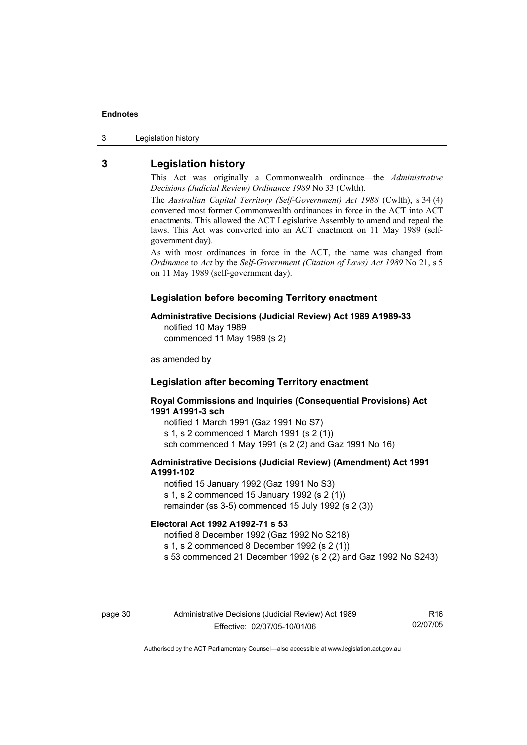3 Legislation history

# **3 Legislation history**

This Act was originally a Commonwealth ordinance—the *Administrative Decisions (Judicial Review) Ordinance 1989* No 33 (Cwlth).

The *Australian Capital Territory (Self-Government) Act 1988* (Cwlth), s 34 (4) converted most former Commonwealth ordinances in force in the ACT into ACT enactments. This allowed the ACT Legislative Assembly to amend and repeal the laws. This Act was converted into an ACT enactment on 11 May 1989 (selfgovernment day).

As with most ordinances in force in the ACT, the name was changed from *Ordinance* to *Act* by the *Self-Government (Citation of Laws) Act 1989* No 21, s 5 on 11 May 1989 (self-government day).

#### **Legislation before becoming Territory enactment**

#### **Administrative Decisions (Judicial Review) Act 1989 A1989-33**

notified 10 May 1989 commenced 11 May 1989 (s 2)

as amended by

#### **Legislation after becoming Territory enactment**

**Royal Commissions and Inquiries (Consequential Provisions) Act 1991 A1991-3 sch** 

notified 1 March 1991 (Gaz 1991 No S7) s 1, s 2 commenced 1 March 1991 (s 2 (1)) sch commenced 1 May 1991 (s 2 (2) and Gaz 1991 No 16)

#### **Administrative Decisions (Judicial Review) (Amendment) Act 1991 A1991-102**

notified 15 January 1992 (Gaz 1991 No S3) s 1, s 2 commenced 15 January 1992 (s 2 (1)) remainder (ss 3-5) commenced 15 July 1992 (s 2 (3))

#### **Electoral Act 1992 A1992-71 s 53**

notified 8 December 1992 (Gaz 1992 No S218)

s 1, s 2 commenced 8 December 1992 (s 2 (1))

s 53 commenced 21 December 1992 (s 2 (2) and Gaz 1992 No S243)

R16 02/07/05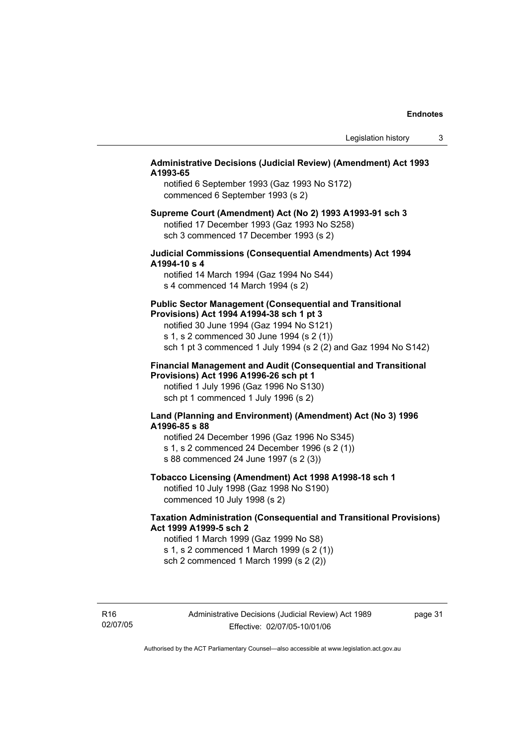#### **Administrative Decisions (Judicial Review) (Amendment) Act 1993 A1993-65**

notified 6 September 1993 (Gaz 1993 No S172) commenced 6 September 1993 (s 2)

#### **Supreme Court (Amendment) Act (No 2) 1993 A1993-91 sch 3**  notified 17 December 1993 (Gaz 1993 No S258) sch 3 commenced 17 December 1993 (s 2)

#### **Judicial Commissions (Consequential Amendments) Act 1994 A1994-10 s 4**

notified 14 March 1994 (Gaz 1994 No S44) s 4 commenced 14 March 1994 (s 2)

#### **Public Sector Management (Consequential and Transitional Provisions) Act 1994 A1994-38 sch 1 pt 3**

notified 30 June 1994 (Gaz 1994 No S121) s 1, s 2 commenced 30 June 1994 (s 2 (1)) sch 1 pt 3 commenced 1 July 1994 (s 2 (2) and Gaz 1994 No S142)

#### **Financial Management and Audit (Consequential and Transitional Provisions) Act 1996 A1996-26 sch pt 1**

notified 1 July 1996 (Gaz 1996 No S130) sch pt 1 commenced 1 July 1996 (s 2)

#### **Land (Planning and Environment) (Amendment) Act (No 3) 1996 A1996-85 s 88**

notified 24 December 1996 (Gaz 1996 No S345) s 1, s 2 commenced 24 December 1996 (s 2 (1)) s 88 commenced 24 June 1997 (s 2 (3))

# **Tobacco Licensing (Amendment) Act 1998 A1998-18 sch 1**

notified 10 July 1998 (Gaz 1998 No S190) commenced 10 July 1998 (s 2)

### **Taxation Administration (Consequential and Transitional Provisions) Act 1999 A1999-5 sch 2**

notified 1 March 1999 (Gaz 1999 No S8) s 1, s 2 commenced 1 March 1999 (s 2 (1)) sch 2 commenced 1 March 1999 (s 2 (2))

R16 02/07/05 page 31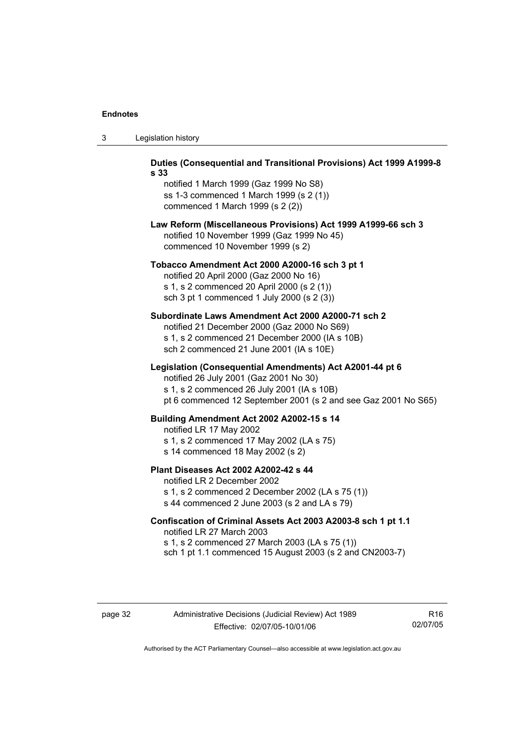| ు | Legislation history |  |
|---|---------------------|--|
|---|---------------------|--|

| Duties (Consequential and Transitional Provisions) Act 1999 A1999-8<br>s 33                                                                                                                                        |
|--------------------------------------------------------------------------------------------------------------------------------------------------------------------------------------------------------------------|
| notified 1 March 1999 (Gaz 1999 No S8)<br>ss 1-3 commenced 1 March 1999 (s 2 (1))<br>commenced 1 March 1999 (s 2 (2))                                                                                              |
| Law Reform (Miscellaneous Provisions) Act 1999 A1999-66 sch 3<br>notified 10 November 1999 (Gaz 1999 No 45)<br>commenced 10 November 1999 (s 2)                                                                    |
| Tobacco Amendment Act 2000 A2000-16 sch 3 pt 1<br>notified 20 April 2000 (Gaz 2000 No 16)<br>s 1, s 2 commenced 20 April 2000 (s 2 (1))<br>sch 3 pt 1 commenced 1 July 2000 (s 2 (3))                              |
| Subordinate Laws Amendment Act 2000 A2000-71 sch 2<br>notified 21 December 2000 (Gaz 2000 No S69)<br>s 1, s 2 commenced 21 December 2000 (IA s 10B)<br>sch 2 commenced 21 June 2001 (IA s 10E)                     |
| Legislation (Consequential Amendments) Act A2001-44 pt 6<br>notified 26 July 2001 (Gaz 2001 No 30)<br>s 1, s 2 commenced 26 July 2001 (IA s 10B)<br>pt 6 commenced 12 September 2001 (s 2 and see Gaz 2001 No S65) |
| Building Amendment Act 2002 A2002-15 s 14<br>notified LR 17 May 2002<br>s 1, s 2 commenced 17 May 2002 (LA s 75)<br>s 14 commenced 18 May 2002 (s 2)                                                               |
| Plant Diseases Act 2002 A2002-42 s 44<br>notified LR 2 December 2002<br>s 1, s 2 commenced 2 December 2002 (LA s 75 (1))<br>s 44 commenced 2 June 2003 (s 2 and LA s 79)                                           |
| Confiscation of Criminal Assets Act 2003 A2003-8 sch 1 pt 1.1<br>notified LR 27 March 2003<br>s 1, s 2 commenced 27 March 2003 (LA s 75 (1))<br>sch 1 pt 1.1 commenced 15 August 2003 (s 2 and CN2003-7)           |

page 32 Administrative Decisions (Judicial Review) Act 1989 Effective: 02/07/05-10/01/06

R16 02/07/05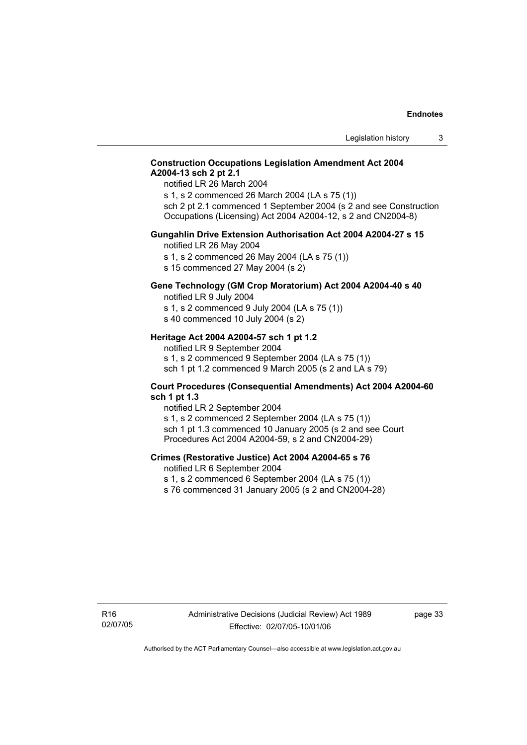#### **Construction Occupations Legislation Amendment Act 2004 A2004-13 sch 2 pt 2.1**

notified LR 26 March 2004

s 1, s 2 commenced 26 March 2004 (LA s 75 (1)) sch 2 pt 2.1 commenced 1 September 2004 (s 2 and see Construction Occupations (Licensing) Act 2004 A2004-12, s 2 and CN2004-8)

#### **Gungahlin Drive Extension Authorisation Act 2004 A2004-27 s 15**

notified LR 26 May 2004

- s 1, s 2 commenced 26 May 2004 (LA s 75 (1))
- s 15 commenced 27 May 2004 (s 2)

# **Gene Technology (GM Crop Moratorium) Act 2004 A2004-40 s 40**

notified LR 9 July 2004

- s 1, s 2 commenced 9 July 2004 (LA s 75 (1))
- s 40 commenced 10 July 2004 (s 2)

#### **Heritage Act 2004 A2004-57 sch 1 pt 1.2**

notified LR 9 September 2004 s 1, s 2 commenced 9 September 2004 (LA s 75 (1)) sch 1 pt 1.2 commenced 9 March 2005 (s 2 and LA s 79)

#### **Court Procedures (Consequential Amendments) Act 2004 A2004-60 sch 1 pt 1.3**

notified LR 2 September 2004 s 1, s 2 commenced 2 September 2004 (LA s 75 (1)) sch 1 pt 1.3 commenced 10 January 2005 (s 2 and see Court Procedures Act 2004 A2004-59, s 2 and CN2004-29)

#### **Crimes (Restorative Justice) Act 2004 A2004-65 s 76**

notified LR 6 September 2004

- s 1, s 2 commenced 6 September 2004 (LA s 75 (1))
- s 76 commenced 31 January 2005 (s 2 and CN2004-28)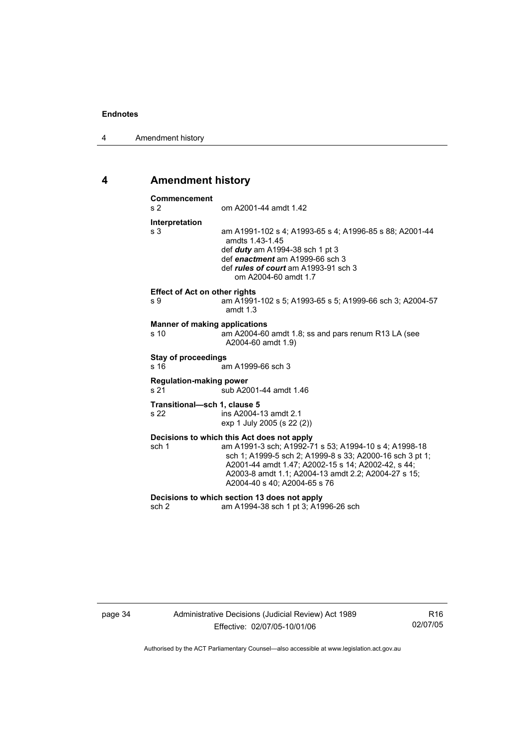4 Amendment history

# **4 Amendment history**

| Commencement<br>s 2                          | om A2001-44 amdt 1.42                                                                                                                                                                                                   |
|----------------------------------------------|-------------------------------------------------------------------------------------------------------------------------------------------------------------------------------------------------------------------------|
| Interpretation                               |                                                                                                                                                                                                                         |
| s <sub>3</sub>                               | am A1991-102 s 4; A1993-65 s 4; A1996-85 s 88; A2001-44<br>amdts 1.43-1.45<br>def <i>duty</i> am A1994-38 sch 1 pt 3<br>def enactment am A1999-66 sch 3<br>def rules of court am A1993-91 sch 3<br>om A2004-60 amdt 1.7 |
| <b>Effect of Act on other rights</b><br>s 9  | am A1991-102 s 5; A1993-65 s 5; A1999-66 sch 3; A2004-57                                                                                                                                                                |
|                                              | amdt $1.3$                                                                                                                                                                                                              |
| <b>Manner of making applications</b><br>s 10 | am A2004-60 amdt 1.8; ss and pars renum R13 LA (see<br>A2004-60 amdt 1.9)                                                                                                                                               |
| <b>Stay of proceedings</b><br>s 16           | am A1999-66 sch 3                                                                                                                                                                                                       |
| <b>Regulation-making power</b><br>s 21       | sub A2001-44 amdt 1.46                                                                                                                                                                                                  |
| Transitional-sch 1, clause 5<br>s 22         | ins A2004-13 amdt 2.1<br>exp 1 July 2005 (s 22 (2))                                                                                                                                                                     |
| sch 1                                        | Decisions to which this Act does not apply<br>am A1991-3 sch; A1992-71 s 53; A1994-10 s 4; A1998-18<br>sch 1; A1999-5 sch 2; A1999-8 s 33; A2000-16 sch 3 pt 1;<br>A2001-44 amdt 1.47; A2002-15 s 14; A2002-42, s 44;   |
|                                              | A2003-8 amdt 1.1; A2004-13 amdt 2.2; A2004-27 s 15;<br>A2004-40 s 40; A2004-65 s 76                                                                                                                                     |

page 34 Administrative Decisions (Judicial Review) Act 1989 Effective: 02/07/05-10/01/06

R16 02/07/05